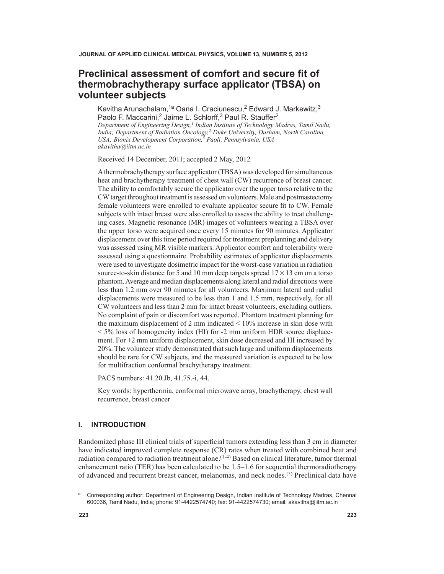# **Preclinical assessment of comfort and secure fit of thermobrachytherapy surface applicator (TBSA) on volunteer subjects**

Kavitha Arunachalam,<sup>1a</sup> Oana I. Craciunescu,<sup>2</sup> Edward J. Markewitz,<sup>3</sup> Paolo F. Maccarini,<sup>2</sup> Jaime L. Schlorff,<sup>3</sup> Paul R. Stauffer<sup>2</sup>

*Department of Engineering Design,1 Indian Institute of Technology Madras, Tamil Nadu, India; Department of Radiation Oncology,2 Duke University, Durham, North Carolina, USA; Bionix Development Corporation,3 Paoli, Pennsylvania, USA akavitha@iitm.ac.in*

Received 14 December, 2011; accepted 2 May, 2012

A thermobrachytherapy surface applicator (TBSA) was developed for simultaneous heat and brachytherapy treatment of chest wall (CW) recurrence of breast cancer. The ability to comfortably secure the applicator over the upper torso relative to the CW target throughout treatment is assessed on volunteers. Male and postmastectomy female volunteers were enrolled to evaluate applicator secure fit to CW. Female subjects with intact breast were also enrolled to assess the ability to treat challenging cases. Magnetic resonance (MR) images of volunteers wearing a TBSA over the upper torso were acquired once every 15 minutes for 90 minutes. Applicator displacement over this time period required for treatment preplanning and delivery was assessed using MR visible markers. Applicator comfort and tolerability were assessed using a questionnaire. Probability estimates of applicator displacements were used to investigate dosimetric impact for the worst-case variation in radiation source-to-skin distance for 5 and 10 mm deep targets spread  $17 \times 13$  cm on a torso phantom. Average and median displacements along lateral and radial directions were less than 1.2 mm over 90 minutes for all volunteers. Maximum lateral and radial displacements were measured to be less than 1 and 1.5 mm, respectively, for all CW volunteers and less than 2 mm for intact breast volunteers, excluding outliers. No complaint of pain or discomfort was reported. Phantom treatment planning for the maximum displacement of 2 mm indicated  $\leq 10\%$  increase in skin dose with  $<$  5% loss of homogeneity index (HI) for -2 mm uniform HDR source displacement. For +2 mm uniform displacement, skin dose decreased and HI increased by 20%. The volunteer study demonstrated that such large and uniform displacements should be rare for CW subjects, and the measured variation is expected to be low for multifraction conformal brachytherapy treatment.

PACS numbers: 41.20.Jb, 41.75.-i, 44.

Key words: hyperthermia, conformal microwave array, brachytherapy, chest wall recurrence, breast cancer

### **I. Introduction**

Randomized phase III clinical trials of superficial tumors extending less than 3 cm in diameter have indicated improved complete response (CR) rates when treated with combined heat and radiation compared to radiation treatment alone.<sup>(1-4)</sup> Based on clinical literature, tumor thermal enhancement ratio (TER) has been calculated to be 1.5–1.6 for sequential thermoradiotherapy of advanced and recurrent breast cancer, melanomas, and neck nodes.(5) Preclinical data have

a Corresponding author: Department of Engineering Design, Indian Institute of Technology Madras, Chennai 600036, Tamil Nadu, India; phone: 91-4422574740; fax: 91-4422574730; email: akavitha@iitm.ac.in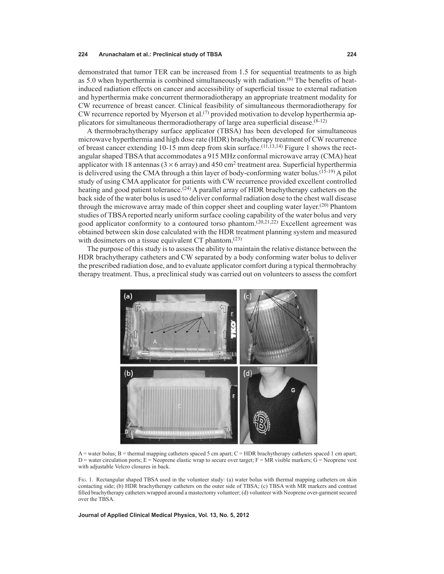demonstrated that tumor TER can be increased from 1.5 for sequential treatments to as high as 5.0 when hyperthermia is combined simultaneously with radiation.(6) The benefits of heatinduced radiation effects on cancer and accessibility of superficial tissue to external radiation and hyperthermia make concurrent thermoradiotherapy an appropriate treatment modality for CW recurrence of breast cancer. Clinical feasibility of simultaneous thermoradiotherapy for CW recurrence reported by Myerson et al.<sup>(7)</sup> provided motivation to develop hyperthermia applicators for simultaneous thermoradiotherapy of large area superficial disease. $(8-12)$ 

A thermobrachytherapy surface applicator (TBSA) has been developed for simultaneous microwave hyperthermia and high dose rate (HDR) brachytherapy treatment of CW recurrence of breast cancer extending 10-15 mm deep from skin surface.<sup>(11,13,14)</sup> Figure 1 shows the rectangular shaped TBSA that accommodates a 915 MHz conformal microwave array (CMA) heat applicator with 18 antennas ( $3 \times 6$  array) and 450 cm<sup>2</sup> treatment area. Superficial hyperthermia is delivered using the CMA through a thin layer of body-conforming water bolus.<sup>(15-19)</sup> A pilot study of using CMA applicator for patients with CW recurrence provided excellent controlled heating and good patient tolerance.<sup>(24)</sup> A parallel array of HDR brachytherapy catheters on the back side of the water bolus is used to deliver conformal radiation dose to the chest wall disease through the microwave array made of thin copper sheet and coupling water layer.<sup>(20)</sup> Phantom studies of TBSA reported nearly uniform surface cooling capability of the water bolus and very good applicator conformity to a contoured torso phantom.<sup> $(20,21,22)$ </sup> Excellent agreement was obtained between skin dose calculated with the HDR treatment planning system and measured with dosimeters on a tissue equivalent CT phantom.<sup>(23)</sup>

The purpose of this study is to assess the ability to maintain the relative distance between the HDR brachytherapy catheters and CW separated by a body conforming water bolus to deliver the prescribed radiation dose, and to evaluate applicator comfort during a typical thermobrachy therapy treatment. Thus, a preclinical study was carried out on volunteers to assess the comfort



 $A$  = water bolus; B = thermal mapping catheters spaced 5 cm apart; C = HDR brachytherapy catheters spaced 1 cm apart;  $D$  = water circulation ports; E = Neoprene elastic wrap to secure over target; F = MR visible markers; G = Neoprene vest with adjustable Velcro closures in back.

Fig. 1. Rectangular shaped TBSA used in the volunteer study: (a) water bolus with thermal mapping catheters on skin contacting side; (b) HDR brachytherapy catheters on the outer side of TBSA; (c) TBSA with MR markers and contrast filled brachytherapy catheters wrapped around a mastectomy volunteer; (d) volunteer with Neoprene over-garment secured over the TBSA.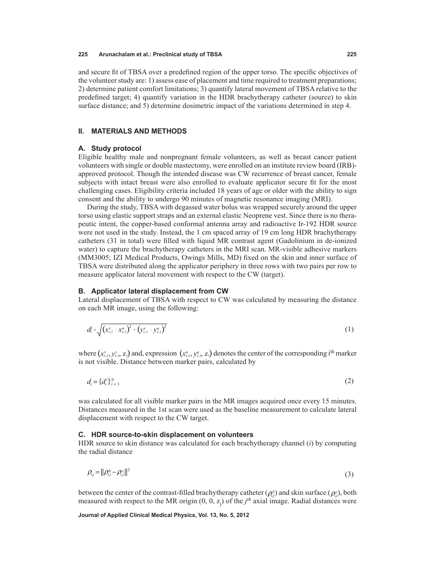and secure fit of TBSA over a predefined region of the upper torso. The specific objectives of the volunteer study are: 1) assess ease of placement and time required to treatment preparations; 2) determine patient comfort limitations; 3) quantify lateral movement of TBSA relative to the predefined target; 4) quantify variation in the HDR brachytherapy catheter (source) to skin surface distance; and 5) determine dosimetric impact of the variations determined in step 4.

## **II. Materials and Methods**

### **A. Study protocol**

Eligible healthy male and nonpregnant female volunteers, as well as breast cancer patient volunteers with single or double mastectomy, were enrolled on an institute review board (IRB) approved protocol. Though the intended disease was CW recurrence of breast cancer, female subjects with intact breast were also enrolled to evaluate applicator secure fit for the most challenging cases. Eligibility criteria included 18 years of age or older with the ability to sign consent and the ability to undergo 90 minutes of magnetic resonance imaging (MRI).

During the study, TBSA with degassed water bolus was wrapped securely around the upper torso using elastic support straps and an external elastic Neoprene vest. Since there is no therapeutic intent, the copper-based conformal antenna array and radioactive Ir-192 HDR source were not used in the study. Instead, the 1 cm spaced array of 19 cm long HDR brachytherapy catheters (31 in total) were filled with liquid MR contrast agent (Gadolinium in de-ionized water) to capture the brachytherapy catheters in the MRI scan. MR-visible adhesive markers (MM3005; IZI Medical Products, Owings Mills, MD) fixed on the skin and inner surface of TBSA were distributed along the applicator periphery in three rows with two pairs per row to measure applicator lateral movement with respect to the CW (target).

# **B. Applicator lateral displacement from CW**

Lateral displacement of TBSA with respect to CW was calculated by measuring the distance on each MR image, using the following:

$$
d_c^i = \sqrt{(x_{c,i}^s - x_{c,i}^a)^2 + (y_{c,i}^s - y_{c,i}^a)^2}
$$
 (1)

where  $(x_{c,i}^s, y_{c,i}^s, z_i)$  and, expression  $(x_{c,i}^a, y_{c,i}^a, z_i)$  denotes the center of the corresponding i<sup>th</sup> marker is not visible. Distance between marker pairs, calculated by

$$
d_c = \{d_c^i\}_{i=1}^N
$$
 (2)

was calculated for all visible marker pairs in the MR images acquired once every 15 minutes. Distances measured in the 1st scan were used as the baseline measurement to calculate lateral displacement with respect to the CW target.

### **C. HDR source-to-skin displacement on volunteers**

HDR source to skin distance was calculated for each brachytherapy channel (*i*) by computing the radial distance

$$
\rho_{ij} = ||\rho_{ij}^b - \rho_{ij}^s||^2 \tag{3}
$$

between the center of the contrast-filled brachytherapy catheter  $(\rho_{i,j}^b)$  and skin surface  $(\rho_{i,j}^s)$ , both measured with respect to the MR origin  $(0, 0, z_j)$  of the  $j<sup>th</sup>$  axial image. Radial distances were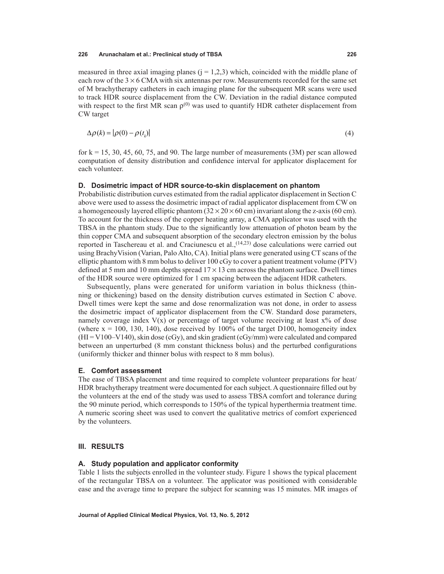measured in three axial imaging planes  $(i = 1,2,3)$  which, coincided with the middle plane of each row of the  $3 \times 6$  CMA with six antennas per row. Measurements recorded for the same set of M brachytherapy catheters in each imaging plane for the subsequent MR scans were used to track HDR source displacement from the CW. Deviation in the radial distance computed with respect to the first MR scan  $\rho^{(0)}$  was used to quantify HDR catheter displacement from CW target

$$
\Delta \rho(k) = |\rho(0) - \rho(t_k)| \tag{4}
$$

for  $k = 15, 30, 45, 60, 75,$  and 90. The large number of measurements  $(3M)$  per scan allowed computation of density distribution and confidence interval for applicator displacement for each volunteer.

### **D. Dosimetric impact of HDR source-to-skin displacement on phantom**

Probabilistic distribution curves estimated from the radial applicator displacement in Section C above were used to assess the dosimetric impact of radial applicator displacement from CW on a homogeneously layered elliptic phantom  $(32 \times 20 \times 60 \text{ cm})$  invariant along the z-axis (60 cm). To account for the thickness of the copper heating array, a CMA applicator was used with the TBSA in the phantom study. Due to the significantly low attenuation of photon beam by the thin copper CMA and subsequent absorption of the secondary electron emission by the bolus reported in Taschereau et al. and Craciunescu et al.,(14,23) dose calculations were carried out using BrachyVision (Varian, Palo Alto, CA). Initial plans were generated using CT scans of the elliptic phantom with 8 mm bolus to deliver 100 cGy to cover a patient treatment volume (PTV) defined at 5 mm and 10 mm depths spread  $17 \times 13$  cm across the phantom surface. Dwell times of the HDR source were optimized for 1 cm spacing between the adjacent HDR catheters.

Subsequently, plans were generated for uniform variation in bolus thickness (thinning or thickening) based on the density distribution curves estimated in Section C above. Dwell times were kept the same and dose renormalization was not done, in order to assess the dosimetric impact of applicator displacement from the CW. Standard dose parameters, namely coverage index  $V(x)$  or percentage of target volume receiving at least  $x\%$  of dose (where  $x = 100$ , 130, 140), dose received by 100% of the target D100, homogeneity index  $(HI = V100-V140)$ , skin dose (cGy), and skin gradient (cGy/mm) were calculated and compared between an unperturbed (8 mm constant thickness bolus) and the perturbed configurations (uniformly thicker and thinner bolus with respect to 8 mm bolus).

## **E. Comfort assessment**

The ease of TBSA placement and time required to complete volunteer preparations for heat/ HDR brachytherapy treatment were documented for each subject. A questionnaire filled out by the volunteers at the end of the study was used to assess TBSA comfort and tolerance during the 90 minute period, which corresponds to 150% of the typical hyperthermia treatment time. A numeric scoring sheet was used to convert the qualitative metrics of comfort experienced by the volunteers.

### **III. Results**

### **A. Study population and applicator conformity**

Table 1 lists the subjects enrolled in the volunteer study. Figure 1 shows the typical placement of the rectangular TBSA on a volunteer. The applicator was positioned with considerable ease and the average time to prepare the subject for scanning was 15 minutes. MR images of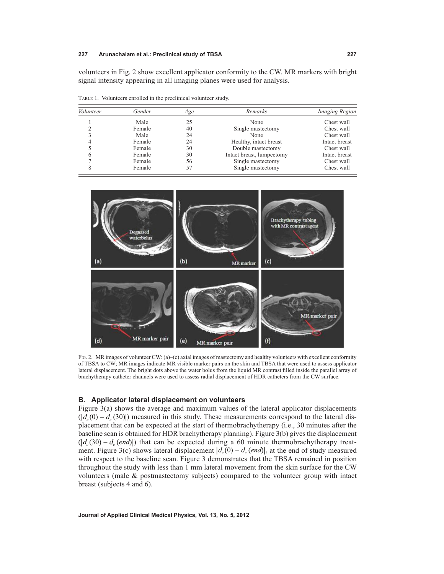Table 1. Volunteers enrolled in the preclinical volunteer study.

volunteers in Fig. 2 show excellent applicator conformity to the CW. MR markers with bright signal intensity appearing in all imaging planes were used for analysis.

| Volunteer | Gender | Age | Remarks                   | <i>Imaging Region</i><br>Chest wall |  |
|-----------|--------|-----|---------------------------|-------------------------------------|--|
|           | Male   | 25  | None                      |                                     |  |
|           | Female | 40  | Single mastectomy         | Chest wall                          |  |
|           | Male   | 24  | None                      | Chest wall                          |  |
|           | Female | 24  | Healthy, intact breast    | Intact breast                       |  |
|           | Female | 30  | Double mastectomy         | Chest wall                          |  |
|           | Female | 30  | Intact breast, lumpectomy | Intact breast                       |  |
|           | Female | 56  | Single mastectomy         | Chest wall                          |  |
|           | Female | 57  | Single mastectomy         | Chest wall                          |  |



Fig. 2. MR images of volunteer CW: (a)–(c) axial images of mastectomy and healthy volunteers with excellent conformity of TBSA to CW; MR images indicate MR visible marker pairs on the skin and TBSA that were used to assess applicator lateral displacement. The bright dots above the water bolus from the liquid MR contrast filled inside the parallel array of brachytherapy catheter channels were used to assess radial displacement of HDR catheters from the CW surface.

### **B. Applicator lateral displacement on volunteers**

Figure 3(a) shows the average and maximum values of the lateral applicator displacements ( $|d<sub>c</sub>(0) - d<sub>c</sub>(30)|$ ) measured in this study. These measurements correspond to the lateral displacement that can be expected at the start of thermobrachytherapy (i.e., 30 minutes after the baseline scan is obtained for HDR brachytherapy planning). Figure 3(b) gives the displacement  $(|d_c(30) - d_c (end)|)$  that can be expected during a 60 minute thermobrachytherapy treatment. Figure 3(c) shows lateral displacement  $|d_c(0) - d_c$  (*end*), at the end of study measured with respect to the baseline scan. Figure 3 demonstrates that the TBSA remained in position throughout the study with less than 1 mm lateral movement from the skin surface for the CW volunteers (male & postmastectomy subjects) compared to the volunteer group with intact breast (subjects 4 and 6).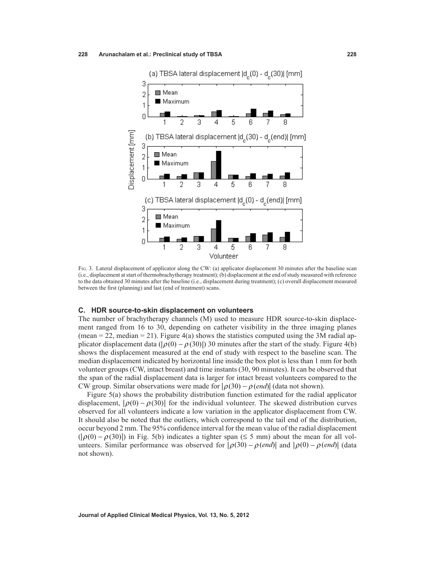

Fig. 3. Lateral displacement of applicator along the CW: (a) applicator displacement 30 minutes after the baseline scan (i.e., displacement at start of thermobrachytherapy treatment); (b) displacement at the end of study measured with reference to the data obtained 30 minutes after the baseline (i.e., displacement during treatment); (c) overall displacement measured between the first (planning) and last (end of treatment) scans.

### **C. HDR source-to-skin displacement on volunteers**

The number of brachytherapy channels (M) used to measure HDR source-to-skin displacement ranged from 16 to 30, depending on catheter visibility in the three imaging planes (mean  $= 22$ , median  $= 21$ ). Figure 4(a) shows the statistics computed using the 3M radial applicator displacement data ( $|\rho(0) - \rho(30)|$ ) 30 minutes after the start of the study. Figure 4(b) shows the displacement measured at the end of study with respect to the baseline scan. The median displacement indicated by horizontal line inside the box plot is less than 1 mm for both volunteer groups (CW, intact breast) and time instants (30, 90 minutes). It can be observed that the span of the radial displacement data is larger for intact breast volunteers compared to the CW group. Similar observations were made for  $|\rho(30) - \rho$  (*end*)| (data not shown).

Figure 5(a) shows the probability distribution function estimated for the radial applicator displacement,  $|\rho(0) - \rho(30)|$  for the individual volunteer. The skewed distribution curves observed for all volunteers indicate a low variation in the applicator displacement from CW. It should also be noted that the outliers, which correspond to the tail end of the distribution, occur beyond 2 mm. The 95% confidence interval for the mean value of the radial displacement  $(|\rho(0) - \rho(30)|)$  in Fig. 5(b) indicates a tighter span (≤ 5 mm) about the mean for all volunteers. Similar performance was observed for  $|\rho(30) - \rho(\text{end})|$  and  $|\rho(0) - \rho(\text{end})|$  (data not shown).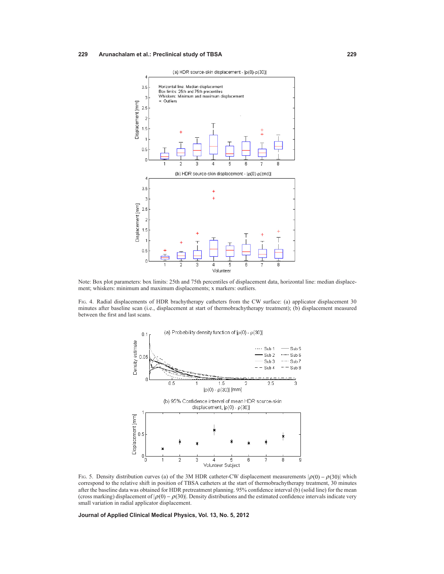

Note: Box plot parameters: box limits: 25th and 75th percentiles of displacement data, horizontal line: median displacement; whiskers: minimum and maximum displacements; x markers: outliers.

Fig. 4. Radial displacements of HDR brachytherapy catheters from the CW surface: (a) applicator displacement 30 minutes after baseline scan (i.e., displacement at start of thermobrachytherapy treatment); (b) displacement measured between the first and last scans.



Fig. 5. Density distribution curves (a) of the 3M HDR catheter-CW displacement measurements  $|\rho(0) - \rho(30)|$  which correspond to the relative shift in position of TBSA catheters at the start of thermobrachytherapy treatment, 30 minutes after the baseline data was obtained for HDR pretreatment planning. 95% confidence interval (b) (solid line) for the mean (cross marking) displacement of  $|\rho(0) - \rho(30)|$ . Density distributions and the estimated confidence intervals indicate very small variation in radial applicator displacement.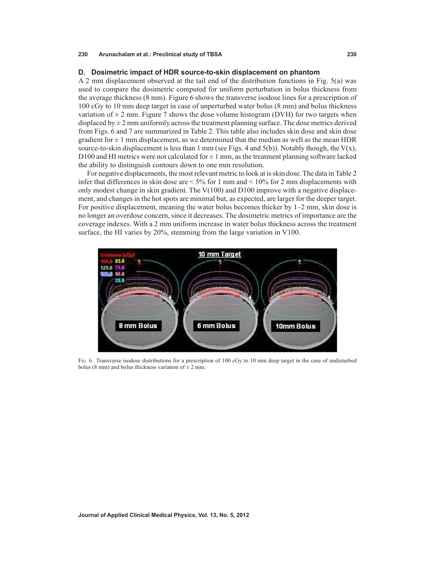### **D. Dosimetric impact of HDR source-to-skin displacement on phantom**

A 2 mm displacement observed at the tail end of the distribution functions in Fig. 5(a) was used to compare the dosimetric computed for uniform perturbation in bolus thickness from the average thickness (8 mm). Figure 6 shows the transverse isodose lines for a prescription of 100 cGy to 10 mm deep target in case of unperturbed water bolus (8 mm) and bolus thickness variation of  $\pm$  2 mm. Figure 7 shows the dose volume histogram (DVH) for two targets when displaced by  $\pm 2$  mm uniformly across the treatment planning surface. The dose metrics derived from Figs. 6 and 7 are summarized in Table 2. This table also includes skin dose and skin dose gradient for  $\pm 1$  mm displacement, as we determined that the median as well as the mean HDR source-to-skin displacement is less than 1 mm (see Figs. 4 and  $5(b)$ ). Notably though, the  $V(x)$ , D100 and HI metrics were not calculated for  $\pm 1$  mm, as the treatment planning software lacked the ability to distinguish contours down to one mm resolution.

For negative displacements, the most relevant metric to look at is skin dose. The data in Table 2 infer that differences in skin dose are  $\leq 5\%$  for 1 mm and  $\leq 10\%$  for 2 mm displacements with only modest change in skin gradient. The  $V(100)$  and D100 improve with a negative displacement, and changes in the hot spots are minimal but, as expected, are larger for the deeper target. For positive displacement, meaning the water bolus becomes thicker by 1–2 mm, skin dose is no longer an overdose concern, since it decreases. The dosimetric metrics of importance are the coverage indexes. With a 2 mm uniform increase in water bolus thickness across the treatment surface, the HI varies by 20%, stemming from the large variation in V100.



FIG. 6. Transverse isodose distributions for a prescription of 100 cGy to 10 mm deep target in the case of undisturbed bolus (8 mm) and bolus thickness variation of  $\pm$  2 mm.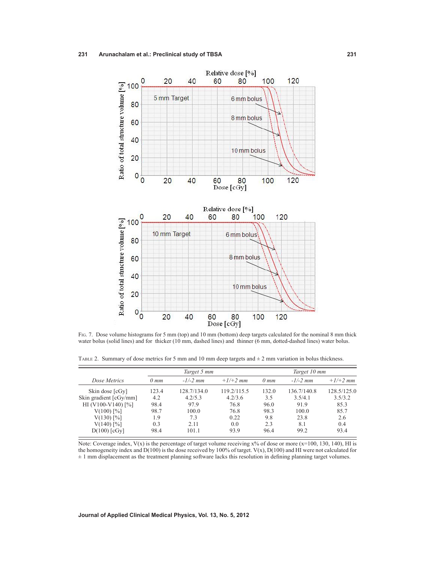

Fig. 7. Dose volume histograms for 5 mm (top) and 10 mm (bottom) deep targets calculated for the nominal 8 mm thick water bolus (solid lines) and for thicker (10 mm, dashed lines) and thinner (6 mm, dotted-dashed lines) water bolus.

TABLE 2. Summary of dose metrics for 5 mm and 10 mm deep targets and  $\pm$  2 mm variation in bolus thickness.

|                        | Target 5 mm |             |             | Target 10 mm |             |             |
|------------------------|-------------|-------------|-------------|--------------|-------------|-------------|
| Dose Metrics           | $0 \, mm$   | $-1/-2$ mm  | $+1/+2$ mm  | $0 \, mm$    | $-1/-2$ mm  | $+1/+2$ mm  |
| Skin dose [cGy]        | 123.4       | 128.7/134.0 | 119.2/115.5 | 132.0        | 136.7/140.8 | 128.5/125.0 |
| Skin gradient [cGy/mm] | 4.2         | 4.2/5.3     | 4.2/3.6     | 3.5          | 3.5/4.1     | 3.5/3.2     |
| HI (V100-V140) [%]     | 98.4        | 97.9        | 76.8        | 96.0         | 91.9        | 85.3        |
| $V(100)$ [%]           | 98.7        | 100.0       | 76.8        | 98.3         | 100.0       | 85.7        |
| $V(130)$ [%]           | 1.9         | 7.3         | 0.22        | 9.8          | 23.8        | 2.6         |
| $V(140)$ [%]           | 0.3         | 2.11        | 0.0         | 2.3          | 8.1         | 0.4         |
| $D(100)$ [cGy]         | 98.4        | 101.1       | 93.9        | 96.4         | 99.2        | 93.4        |

Note: Coverage index,  $V(x)$  is the percentage of target volume receiving  $x\%$  of dose or more (x=100, 130, 140), HI is the homogeneity index and D(100) is the dose received by 100% of target. V(x), D(100) and HI were not calculated for  $\pm$  1 mm displacement as the treatment planning software lacks this resolution in defining planning target volumes.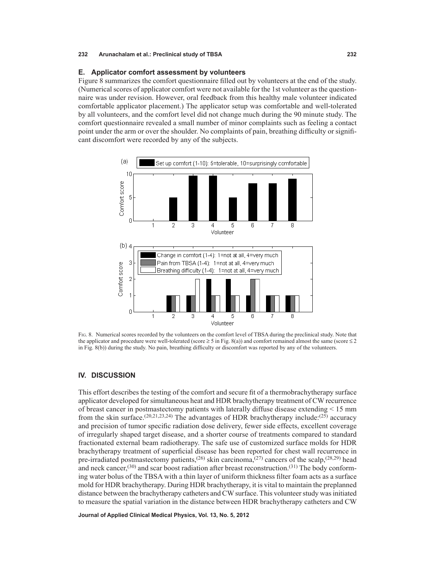### **E. Applicator comfort assessment by volunteers**

Figure 8 summarizes the comfort questionnaire filled out by volunteers at the end of the study. (Numerical scores of applicator comfort were not available for the 1st volunteer as the questionnaire was under revision. However, oral feedback from this healthy male volunteer indicated comfortable applicator placement.) The applicator setup was comfortable and well-tolerated by all volunteers, and the comfort level did not change much during the 90 minute study. The comfort questionnaire revealed a small number of minor complaints such as feeling a contact point under the arm or over the shoulder. No complaints of pain, breathing difficulty or significant discomfort were recorded by any of the subjects.



FIG. 8. Numerical scores recorded by the volunteers on the comfort level of TBSA during the preclinical study. Note that the applicator and procedure were well-tolerated (score  $\geq 5$  in Fig. 8(a)) and comfort remained almost the same (score  $\leq 2$ in Fig. 8(b)) during the study. No pain, breathing difficulty or discomfort was reported by any of the volunteers.

### **IV. DISCUSSION**

This effort describes the testing of the comfort and secure fit of a thermobrachytherapy surface applicator developed for simultaneous heat and HDR brachytherapy treatment of CW recurrence of breast cancer in postmastectomy patients with laterally diffuse disease extending < 15 mm from the skin surface.<sup>(20,21,23,24)</sup> The advantages of HDR brachytherapy include:<sup>(25)</sup> accuracy and precision of tumor specific radiation dose delivery, fewer side effects, excellent coverage of irregularly shaped target disease, and a shorter course of treatments compared to standard fractionated external beam radiotherapy. The safe use of customized surface molds for HDR brachytherapy treatment of superficial disease has been reported for chest wall recurrence in pre-irradiated postmastectomy patients,<sup>(26)</sup> skin carcinoma,<sup>(27)</sup> cancers of the scalp,<sup>(28,29)</sup> head and neck cancer,<sup>(30)</sup> and scar boost radiation after breast reconstruction.<sup>(31)</sup> The body conforming water bolus of the TBSA with a thin layer of uniform thickness filter foam acts as a surface mold for HDR brachytherapy. During HDR brachytherapy, it is vital to maintain the preplanned distance between the brachytherapy catheters and CW surface. This volunteer study was initiated to measure the spatial variation in the distance between HDR brachytherapy catheters and CW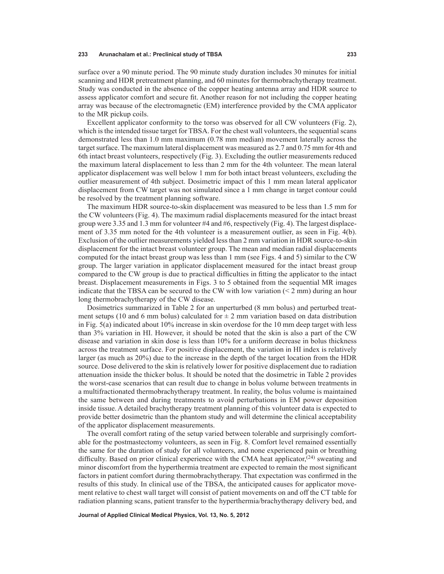surface over a 90 minute period. The 90 minute study duration includes 30 minutes for initial scanning and HDR pretreatment planning, and 60 minutes for thermobrachytherapy treatment. Study was conducted in the absence of the copper heating antenna array and HDR source to assess applicator comfort and secure fit. Another reason for not including the copper heating array was because of the electromagnetic (EM) interference provided by the CMA applicator to the MR pickup coils.

Excellent applicator conformity to the torso was observed for all CW volunteers (Fig. 2), which is the intended tissue target for TBSA. For the chest wall volunteers, the sequential scans demonstrated less than 1.0 mm maximum (0.78 mm median) movement laterally across the target surface. The maximum lateral displacement was measured as 2.7 and 0.75 mm for 4th and 6th intact breast volunteers, respectively (Fig. 3). Excluding the outlier measurements reduced the maximum lateral displacement to less than 2 mm for the 4th volunteer. The mean lateral applicator displacement was well below 1 mm for both intact breast volunteers, excluding the outlier measurement of 4th subject. Dosimetric impact of this 1 mm mean lateral applicator displacement from CW target was not simulated since a 1 mm change in target contour could be resolved by the treatment planning software.

The maximum HDR source-to-skin displacement was measured to be less than 1.5 mm for the CW volunteers (Fig. 4). The maximum radial displacements measured for the intact breast group were 3.35 and 1.3 mm for volunteer  $#4$  and  $#6$ , respectively (Fig. 4). The largest displacement of 3.35 mm noted for the 4th volunteer is a measurement outlier, as seen in Fig. 4(b). Exclusion of the outlier measurements yielded less than 2 mm variation in HDR source-to-skin displacement for the intact breast volunteer group. The mean and median radial displacements computed for the intact breast group was less than 1 mm (see Figs. 4 and 5) similar to the CW group. The larger variation in applicator displacement measured for the intact breast group compared to the CW group is due to practical difficulties in fitting the applicator to the intact breast. Displacement measurements in Figs. 3 to 5 obtained from the sequential MR images indicate that the TBSA can be secured to the CW with low variation  $(< 2 \text{ mm})$  during an hour long thermobrachytherapy of the CW disease.

Dosimetrics summarized in Table 2 for an unperturbed (8 mm bolus) and perturbed treatment setups (10 and 6 mm bolus) calculated for  $\pm$  2 mm variation based on data distribution in Fig. 5(a) indicated about 10% increase in skin overdose for the 10 mm deep target with less than 3% variation in HI. However, it should be noted that the skin is also a part of the CW disease and variation in skin dose is less than 10% for a uniform decrease in bolus thickness across the treatment surface. For positive displacement, the variation in HI index is relatively larger (as much as 20%) due to the increase in the depth of the target location from the HDR source. Dose delivered to the skin is relatively lower for positive displacement due to radiation attenuation inside the thicker bolus. It should be noted that the dosimetric in Table 2 provides the worst-case scenarios that can result due to change in bolus volume between treatments in a multifractionated thermobrachytherapy treatment. In reality, the bolus volume is maintained the same between and during treatments to avoid perturbations in EM power deposition inside tissue.A detailed brachytherapy treatment planning of this volunteer data is expected to provide better dosimetric than the phantom study and will determine the clinical acceptability of the applicator displacement measurements.

The overall comfort rating of the setup varied between tolerable and surprisingly comfortable for the postmastectomy volunteers, as seen in Fig. 8. Comfort level remained essentially the same for the duration of study for all volunteers, and none experienced pain or breathing difficulty. Based on prior clinical experience with the CMA heat applicator,<sup> $(24)$ </sup> sweating and minor discomfort from the hyperthermia treatment are expected to remain the most significant factors in patient comfort during thermobrachytherapy. That expectation was confirmed in the results of this study. In clinical use of the TBSA, the anticipated causes for applicator movement relative to chest wall target will consist of patient movements on and off the CT table for radiation planning scans, patient transfer to the hyperthermia/brachytherapy delivery bed, and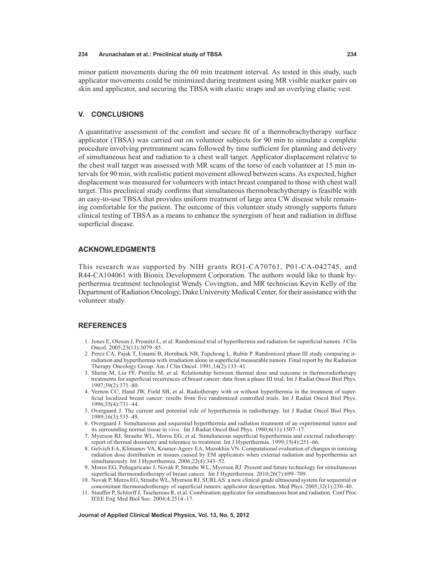minor patient movements during the 60 min treatment interval. As tested in this study, such applicator movements could be minimized during treatment using MR visible marker pairs on skin and applicator, and securing the TBSA with elastic straps and an overlying elastic vest.

### **V. Conclusions**

A quantitative assessment of the comfort and secure fit of a thermobrachytherapy surface applicator (TBSA) was carried out on volunteer subjects for 90 min to simulate a complete procedure involving pretreatment scans followed by time sufficient for planning and delivery of simultaneous heat and radiation to a chest wall target. Applicator displacement relative to the chest wall target was assessed with MR scans of the torso of each volunteer at 15 min intervals for 90 min, with realistic patient movement allowed between scans. As expected, higher displacement was measured for volunteers with intact breast compared to those with chest wall target. This preclinical study confirms that simultaneous thermobrachytherapy is feasible with an easy-to-use TBSA that provides uniform treatment of large area CW disease while remaining comfortable for the patient. The outcome of this volunteer study strongly supports future clinical testing of TBSA as a means to enhance the synergism of heat and radiation in diffuse superficial disease.

### **Acknowledgments**

This research was supported by NIH grants RO1-CA70761, P01-CA-042745, and R44-CA104061 with Bionix Development Corporation. The authors would like to thank hyperthermia treatment technologist Wendy Covington, and MR technician Kevin Kelly of the Department of Radiation Oncology, Duke University Medical Center, for their assistance with the volunteer study.

### **References**

- 1. Jones E, Oleson J, Prosnitz L, et al. Randomized trial of hyperthermia and radiation for superficial tumors. J Clin Oncol. 2005;23(13):3079–85.
- 2. Perez CA, Pajak T, Emami B, Hornback NB, Tupchong L, Rubin P. Randomized phase III study comparing irradiation and hyperthermia with irradiation alone in superficial measurable tumors. Final report by the Radiation Therapy Oncology Group. Am J Clin Oncol. 1991;14(2):133–41.
- 3. Sherar M, Liu FF, Pintilie M, et al. Relationship between thermal dose and outcome in thermoradiotherapy treatments for superficial recurrences of breast cancer: data from a phase III trial. Int J Radiat Oncol Biol Phys. 1997;39(2):371–80.
- 4. Vernon CC, Hand JW, Field SB, et al. Radiotherapy with or without hyperthermia in the treatment of superficial localized breast cancer: results from five randomized controlled trials. Int J Radiat Oncol Biol Phys. 1996;35(4):731–44.
- 5. Overgaard J. The current and potential role of hyperthermia in radiotherapy. Int J Radiat Oncol Biol Phys. 1989;16(3):535–49.
- 6. Overgaard J. Simultaneous and sequential hyperthermia and radiation treatment of an experimental tumor and its surrounding normal tissue in vivo. Int J Radiat Oncol Biol Phys. 1980;6(11):1507–17.
- 7. Myerson RJ, Straube WL, Moros EG, et al. Simultaneous superficial hyperthermia and external radiotherapy: report of thermal dosimetry and tolerance to treatment. Int J Hyperthermia. 1999;15(4):251–66.
- 8. Gelvich EA, Klimanov VA, Kramer-Ageev EA, Mazokhin VN. Computational evaluation of changes in ionizing radiation dose distribution in tissues caused by EM applicators when external radiation and hyperthermia act simultaneously. Int J Hyperthermia.  $2006;22(4):343-52$ .
- 9. Moros EG, Peñagaricano J, Novàk P, Straube WL, Myerson RJ. Present and future technology for simultaneous superficial thermoradiotherapy of breast cancer. Int J Hyperthermia. 2010;26(7):699–709.
- 10. Novak P, Moros EG, Straube WL, Myerson RJ. SURLAS: a new clinical grade ultrasound system for sequential or concomitant thermoradiotherapy of superficial tumors: applicator description. Med Phys. 2005;32(1):230–40.
- 11. Stauffer P, Schlorff J, Taschereau R, et al. Combination applicator for simultaneous heat and radiation. Conf Proc IEEE Eng Med Biol Soc. 2004;4:2514–17.